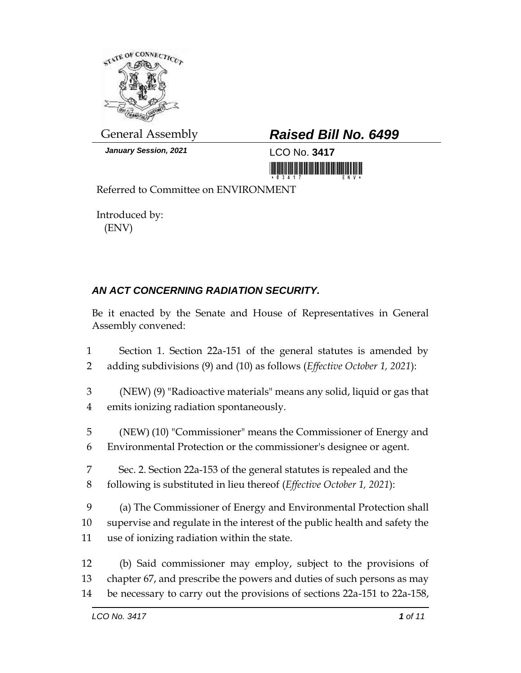

*January Session, 2021* LCO No. 3417

## General Assembly *Raised Bill No. 6499*

Referred to Committee on ENVIRONMENT

Introduced by: (ENV)

## *AN ACT CONCERNING RADIATION SECURITY.*

Be it enacted by the Senate and House of Representatives in General Assembly convened:

| $\mathbf{1}$    | Section 1. Section 22a-151 of the general statutes is amended by                  |  |
|-----------------|-----------------------------------------------------------------------------------|--|
| 2               | adding subdivisions (9) and (10) as follows ( <i>Effective October 1</i> , 2021): |  |
| 3               | (NEW) (9) "Radioactive materials" means any solid, liquid or gas that             |  |
| $\overline{4}$  | emits ionizing radiation spontaneously.                                           |  |
| 5               | (NEW) (10) "Commissioner" means the Commissioner of Energy and                    |  |
| 6               | Environmental Protection or the commissioner's designee or agent.                 |  |
| 7               | Sec. 2. Section 22a-153 of the general statutes is repealed and the               |  |
| 8               | following is substituted in lieu thereof ( <i>Effective October 1</i> , 2021):    |  |
| 9               | (a) The Commissioner of Energy and Environmental Protection shall                 |  |
| 10 <sup>°</sup> | supervise and regulate in the interest of the public health and safety the        |  |
| 11              | use of ionizing radiation within the state.                                       |  |
| 12              | (b) Said commissioner may employ, subject to the provisions of                    |  |
| 13              | chapter 67, and prescribe the powers and duties of such persons as may            |  |
| 14              | be necessary to carry out the provisions of sections 22a-151 to 22a-158,          |  |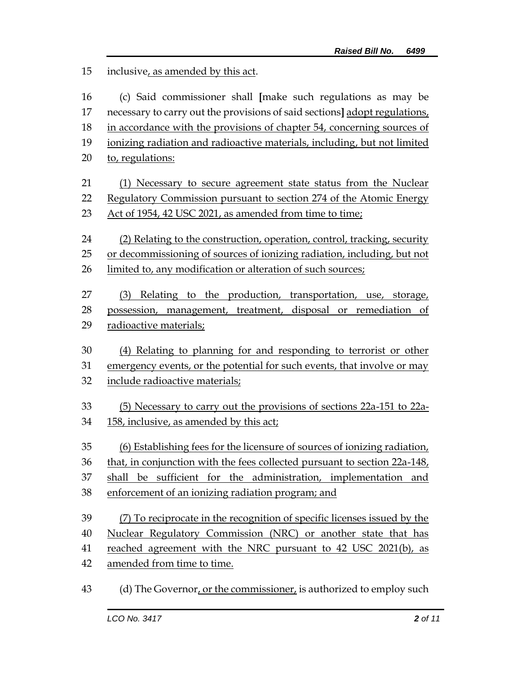inclusive, as amended by this act. (c) Said commissioner shall **[**make such regulations as may be necessary to carry out the provisions of said sections**]** adopt regulations, in accordance with the provisions of chapter 54, concerning sources of ionizing radiation and radioactive materials, including, but not limited to, regulations: (1) Necessary to secure agreement state status from the Nuclear 22 Regulatory Commission pursuant to section 274 of the Atomic Energy Act of 1954, 42 USC 2021, as amended from time to time; (2) Relating to the construction, operation, control, tracking, security or decommissioning of sources of ionizing radiation, including, but not limited to, any modification or alteration of such sources; (3) Relating to the production, transportation, use, storage, possession, management, treatment, disposal or remediation of 29 radioactive materials; (4) Relating to planning for and responding to terrorist or other emergency events, or the potential for such events, that involve or may include radioactive materials; (5) Necessary to carry out the provisions of sections 22a-151 to 22a- 158, inclusive, as amended by this act; (6) Establishing fees for the licensure of sources of ionizing radiation, 36 that, in conjunction with the fees collected pursuant to section 22a-148, shall be sufficient for the administration, implementation and enforcement of an ionizing radiation program; and (7) To reciprocate in the recognition of specific licenses issued by the Nuclear Regulatory Commission (NRC) or another state that has reached agreement with the NRC pursuant to 42 USC 2021(b), as amended from time to time. 43 (d) The Governor, or the commissioner, is authorized to employ such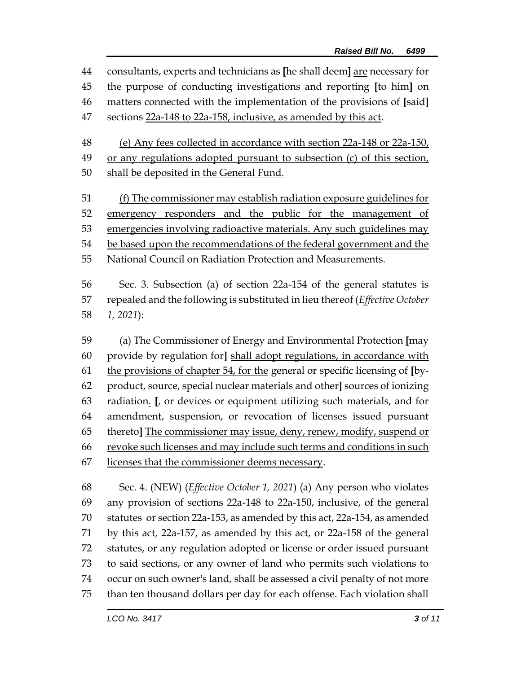consultants, experts and technicians as **[**he shall deem**]** are necessary for the purpose of conducting investigations and reporting **[**to him**]** on matters connected with the implementation of the provisions of **[**said**]** sections 22a-148 to 22a-158, inclusive, as amended by this act.

 (e) Any fees collected in accordance with section 22a-148 or 22a-150, or any regulations adopted pursuant to subsection (c) of this section,

- 50 shall be deposited in the General Fund.
- (f) The commissioner may establish radiation exposure guidelines for emergency responders and the public for the management of emergencies involving radioactive materials. Any such guidelines may be based upon the recommendations of the federal government and the National Council on Radiation Protection and Measurements.

 Sec. 3. Subsection (a) of section 22a-154 of the general statutes is repealed and the following is substituted in lieu thereof (*Effective October 1, 2021*):

 (a) The Commissioner of Energy and Environmental Protection **[**may provide by regulation for**]** shall adopt regulations, in accordance with the provisions of chapter 54, for the general or specific licensing of **[**by- product, source, special nuclear materials and other**]** sources of ionizing radiation. **[**, or devices or equipment utilizing such materials, and for amendment, suspension, or revocation of licenses issued pursuant thereto**]** The commissioner may issue, deny, renew, modify, suspend or revoke such licenses and may include such terms and conditions in such licenses that the commissioner deems necessary.

 Sec. 4. (NEW) (*Effective October 1, 2021*) (a) Any person who violates any provision of sections 22a-148 to 22a-150, inclusive, of the general statutes or section 22a-153, as amended by this act, 22a-154, as amended by this act, 22a-157, as amended by this act, or 22a-158 of the general statutes, or any regulation adopted or license or order issued pursuant to said sections, or any owner of land who permits such violations to occur on such owner's land, shall be assessed a civil penalty of not more than ten thousand dollars per day for each offense. Each violation shall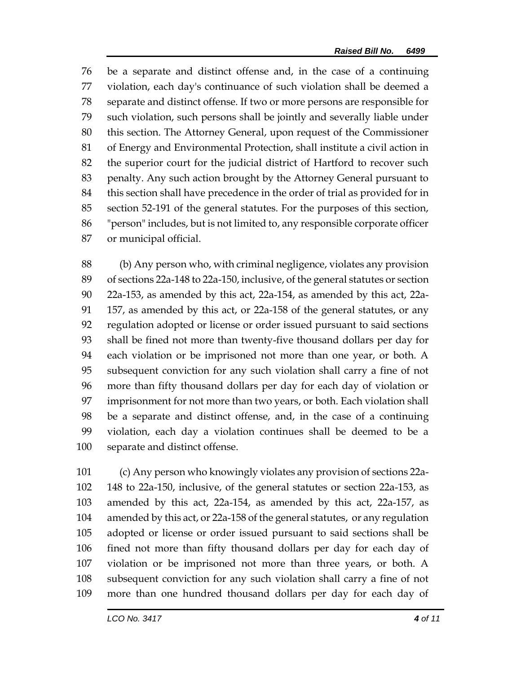be a separate and distinct offense and, in the case of a continuing violation, each day's continuance of such violation shall be deemed a separate and distinct offense. If two or more persons are responsible for such violation, such persons shall be jointly and severally liable under this section. The Attorney General, upon request of the Commissioner of Energy and Environmental Protection, shall institute a civil action in the superior court for the judicial district of Hartford to recover such penalty. Any such action brought by the Attorney General pursuant to this section shall have precedence in the order of trial as provided for in section 52-191 of the general statutes. For the purposes of this section, "person" includes, but is not limited to, any responsible corporate officer or municipal official.

 (b) Any person who, with criminal negligence, violates any provision of sections 22a-148 to 22a-150, inclusive, of the general statutes or section 22a-153, as amended by this act, 22a-154, as amended by this act, 22a- 157, as amended by this act, or 22a-158 of the general statutes, or any regulation adopted or license or order issued pursuant to said sections shall be fined not more than twenty-five thousand dollars per day for each violation or be imprisoned not more than one year, or both. A subsequent conviction for any such violation shall carry a fine of not more than fifty thousand dollars per day for each day of violation or imprisonment for not more than two years, or both. Each violation shall be a separate and distinct offense, and, in the case of a continuing violation, each day a violation continues shall be deemed to be a separate and distinct offense.

 (c) Any person who knowingly violates any provision of sections 22a- 148 to 22a-150, inclusive, of the general statutes or section 22a-153, as amended by this act, 22a-154, as amended by this act, 22a-157, as amended by this act, or 22a-158 of the general statutes, or any regulation adopted or license or order issued pursuant to said sections shall be fined not more than fifty thousand dollars per day for each day of violation or be imprisoned not more than three years, or both. A subsequent conviction for any such violation shall carry a fine of not more than one hundred thousand dollars per day for each day of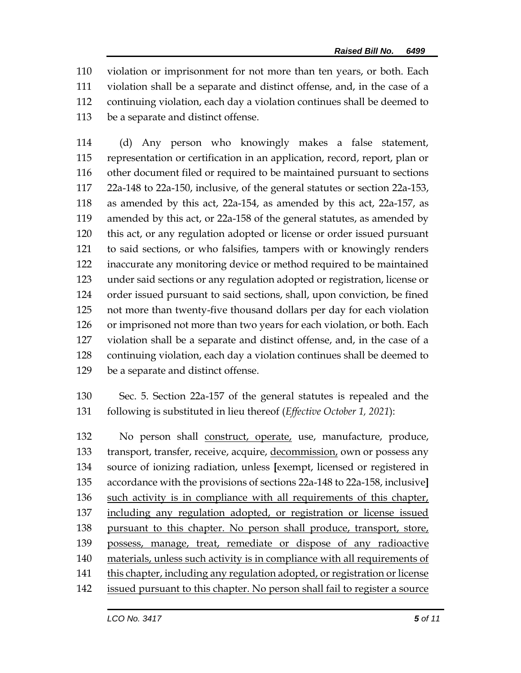violation or imprisonment for not more than ten years, or both. Each violation shall be a separate and distinct offense, and, in the case of a continuing violation, each day a violation continues shall be deemed to be a separate and distinct offense.

 (d) Any person who knowingly makes a false statement, representation or certification in an application, record, report, plan or other document filed or required to be maintained pursuant to sections 22a-148 to 22a-150, inclusive, of the general statutes or section 22a-153, as amended by this act, 22a-154, as amended by this act, 22a-157, as amended by this act, or 22a-158 of the general statutes, as amended by this act, or any regulation adopted or license or order issued pursuant to said sections, or who falsifies, tampers with or knowingly renders inaccurate any monitoring device or method required to be maintained under said sections or any regulation adopted or registration, license or order issued pursuant to said sections, shall, upon conviction, be fined not more than twenty-five thousand dollars per day for each violation or imprisoned not more than two years for each violation, or both. Each violation shall be a separate and distinct offense, and, in the case of a continuing violation, each day a violation continues shall be deemed to be a separate and distinct offense.

 Sec. 5. Section 22a-157 of the general statutes is repealed and the following is substituted in lieu thereof (*Effective October 1, 2021*):

 No person shall construct, operate, use, manufacture, produce, transport, transfer, receive, acquire, decommission, own or possess any source of ionizing radiation, unless **[**exempt, licensed or registered in accordance with the provisions of sections 22a-148 to 22a-158, inclusive**]** 136 such activity is in compliance with all requirements of this chapter, including any regulation adopted, or registration or license issued pursuant to this chapter. No person shall produce, transport, store, possess, manage, treat, remediate or dispose of any radioactive materials, unless such activity is in compliance with all requirements of this chapter, including any regulation adopted, or registration or license issued pursuant to this chapter. No person shall fail to register a source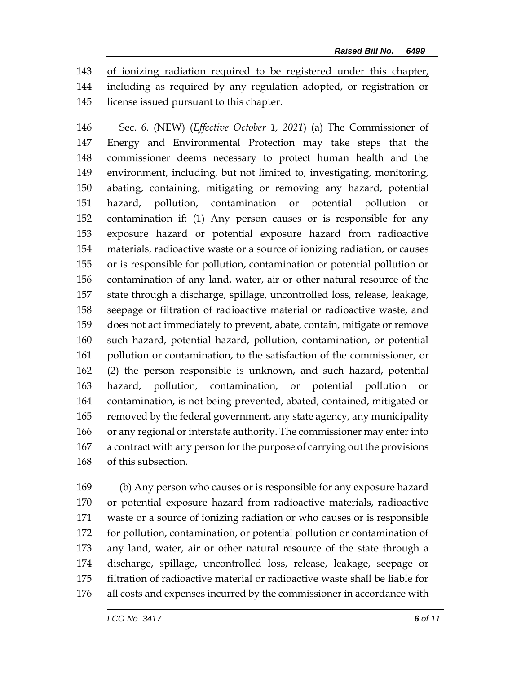of ionizing radiation required to be registered under this chapter, including as required by any regulation adopted, or registration or

license issued pursuant to this chapter.

 Sec. 6. (NEW) (*Effective October 1, 2021*) (a) The Commissioner of Energy and Environmental Protection may take steps that the commissioner deems necessary to protect human health and the environment, including, but not limited to, investigating, monitoring, abating, containing, mitigating or removing any hazard, potential hazard, pollution, contamination or potential pollution or contamination if: (1) Any person causes or is responsible for any exposure hazard or potential exposure hazard from radioactive materials, radioactive waste or a source of ionizing radiation, or causes or is responsible for pollution, contamination or potential pollution or contamination of any land, water, air or other natural resource of the state through a discharge, spillage, uncontrolled loss, release, leakage, seepage or filtration of radioactive material or radioactive waste, and does not act immediately to prevent, abate, contain, mitigate or remove such hazard, potential hazard, pollution, contamination, or potential pollution or contamination, to the satisfaction of the commissioner, or (2) the person responsible is unknown, and such hazard, potential hazard, pollution, contamination, or potential pollution or contamination, is not being prevented, abated, contained, mitigated or removed by the federal government, any state agency, any municipality or any regional or interstate authority. The commissioner may enter into a contract with any person for the purpose of carrying out the provisions of this subsection.

 (b) Any person who causes or is responsible for any exposure hazard or potential exposure hazard from radioactive materials, radioactive waste or a source of ionizing radiation or who causes or is responsible for pollution, contamination, or potential pollution or contamination of any land, water, air or other natural resource of the state through a discharge, spillage, uncontrolled loss, release, leakage, seepage or filtration of radioactive material or radioactive waste shall be liable for all costs and expenses incurred by the commissioner in accordance with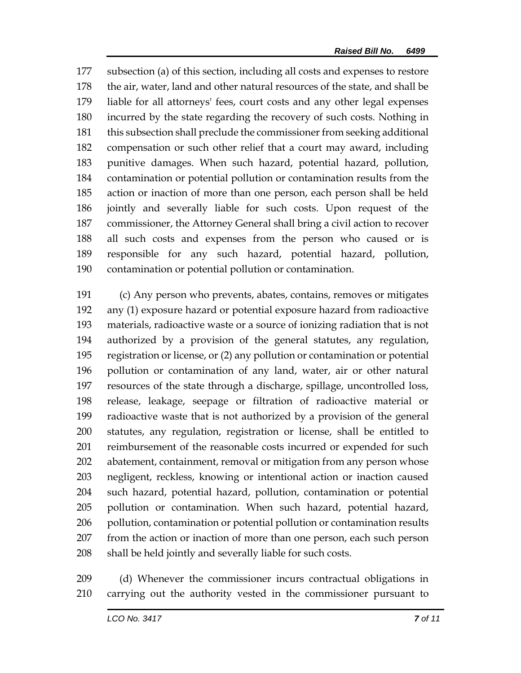subsection (a) of this section, including all costs and expenses to restore the air, water, land and other natural resources of the state, and shall be liable for all attorneys' fees, court costs and any other legal expenses incurred by the state regarding the recovery of such costs. Nothing in this subsection shall preclude the commissioner from seeking additional compensation or such other relief that a court may award, including punitive damages. When such hazard, potential hazard, pollution, contamination or potential pollution or contamination results from the action or inaction of more than one person, each person shall be held jointly and severally liable for such costs. Upon request of the commissioner, the Attorney General shall bring a civil action to recover all such costs and expenses from the person who caused or is responsible for any such hazard, potential hazard, pollution, contamination or potential pollution or contamination.

 (c) Any person who prevents, abates, contains, removes or mitigates any (1) exposure hazard or potential exposure hazard from radioactive materials, radioactive waste or a source of ionizing radiation that is not authorized by a provision of the general statutes, any regulation, registration or license, or (2) any pollution or contamination or potential pollution or contamination of any land, water, air or other natural resources of the state through a discharge, spillage, uncontrolled loss, release, leakage, seepage or filtration of radioactive material or radioactive waste that is not authorized by a provision of the general statutes, any regulation, registration or license, shall be entitled to reimbursement of the reasonable costs incurred or expended for such abatement, containment, removal or mitigation from any person whose negligent, reckless, knowing or intentional action or inaction caused such hazard, potential hazard, pollution, contamination or potential pollution or contamination. When such hazard, potential hazard, 206 pollution, contamination or potential pollution or contamination results from the action or inaction of more than one person, each such person shall be held jointly and severally liable for such costs.

 (d) Whenever the commissioner incurs contractual obligations in carrying out the authority vested in the commissioner pursuant to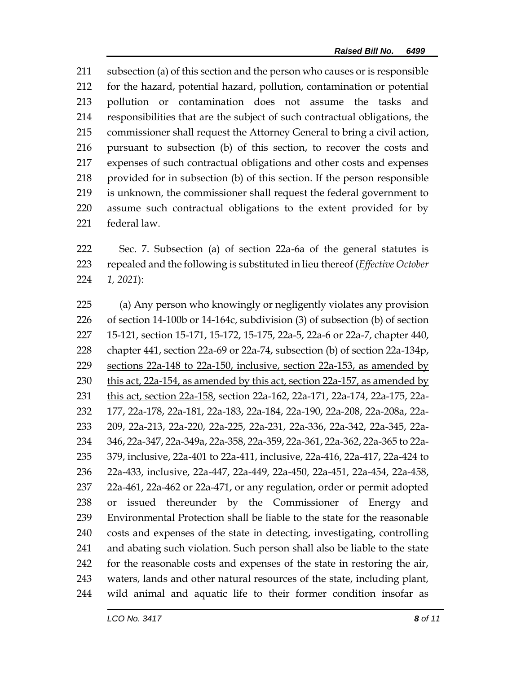subsection (a) of this section and the person who causes or is responsible for the hazard, potential hazard, pollution, contamination or potential pollution or contamination does not assume the tasks and responsibilities that are the subject of such contractual obligations, the commissioner shall request the Attorney General to bring a civil action, pursuant to subsection (b) of this section, to recover the costs and expenses of such contractual obligations and other costs and expenses provided for in subsection (b) of this section. If the person responsible is unknown, the commissioner shall request the federal government to assume such contractual obligations to the extent provided for by federal law.

 Sec. 7. Subsection (a) of section 22a-6a of the general statutes is repealed and the following is substituted in lieu thereof (*Effective October 1, 2021*):

 (a) Any person who knowingly or negligently violates any provision of section 14-100b or 14-164c, subdivision (3) of subsection (b) of section 15-121, section 15-171, 15-172, 15-175, 22a-5, 22a-6 or 22a-7, chapter 440, chapter 441, section 22a-69 or 22a-74, subsection (b) of section 22a-134p, sections 22a-148 to 22a-150, inclusive, section 22a-153, as amended by this act, 22a-154, as amended by this act, section 22a-157, as amended by 231 this act, section 22a-158, section 22a-162, 22a-171, 22a-174, 22a-175, 22a- 177, 22a-178, 22a-181, 22a-183, 22a-184, 22a-190, 22a-208, 22a-208a, 22a- 209, 22a-213, 22a-220, 22a-225, 22a-231, 22a-336, 22a-342, 22a-345, 22a- 346, 22a-347, 22a-349a, 22a-358, 22a-359, 22a-361, 22a-362, 22a-365 to 22a- 379, inclusive, 22a-401 to 22a-411, inclusive, 22a-416, 22a-417, 22a-424 to 22a-433, inclusive, 22a-447, 22a-449, 22a-450, 22a-451, 22a-454, 22a-458, 22a-461, 22a-462 or 22a-471, or any regulation, order or permit adopted or issued thereunder by the Commissioner of Energy and Environmental Protection shall be liable to the state for the reasonable costs and expenses of the state in detecting, investigating, controlling and abating such violation. Such person shall also be liable to the state for the reasonable costs and expenses of the state in restoring the air, waters, lands and other natural resources of the state, including plant, wild animal and aquatic life to their former condition insofar as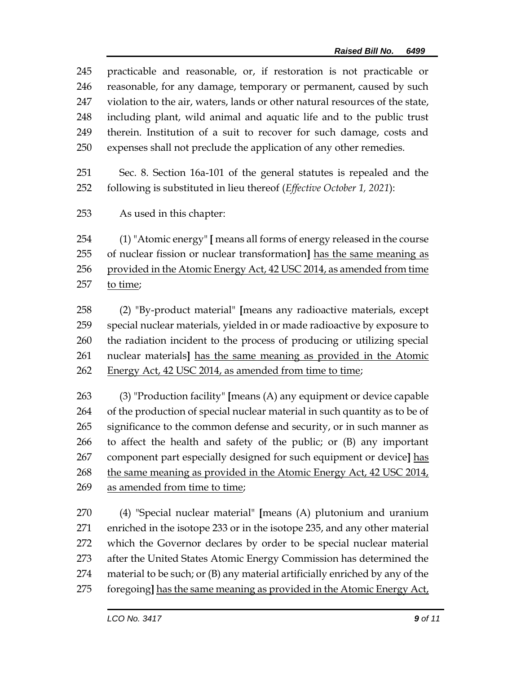| 245 | practicable and reasonable, or, if restoration is not practicable or         |  |  |  |
|-----|------------------------------------------------------------------------------|--|--|--|
| 246 | reasonable, for any damage, temporary or permanent, caused by such           |  |  |  |
| 247 | violation to the air, waters, lands or other natural resources of the state, |  |  |  |
| 248 | including plant, wild animal and aquatic life and to the public trust        |  |  |  |
| 249 | therein. Institution of a suit to recover for such damage, costs and         |  |  |  |
| 250 | expenses shall not preclude the application of any other remedies.           |  |  |  |
| 251 | Sec. 8. Section 16a-101 of the general statutes is repealed and the          |  |  |  |
| 252 | following is substituted in lieu thereof (Effective October 1, 2021):        |  |  |  |
| 253 | As used in this chapter:                                                     |  |  |  |
| 254 | (1) "Atomic energy" [ means all forms of energy released in the course       |  |  |  |
| 255 | of nuclear fission or nuclear transformation] has the same meaning as        |  |  |  |
| 256 | provided in the Atomic Energy Act, 42 USC 2014, as amended from time         |  |  |  |
| 257 | to time;                                                                     |  |  |  |
| 258 | (2) "By-product material" [means any radioactive materials, except           |  |  |  |
| 259 | special nuclear materials, yielded in or made radioactive by exposure to     |  |  |  |
| 260 | the radiation incident to the process of producing or utilizing special      |  |  |  |
| 261 | nuclear materials] has the same meaning as provided in the Atomic            |  |  |  |
| 262 | Energy Act, 42 USC 2014, as amended from time to time;                       |  |  |  |

 (3) "Production facility" **[**means (A) any equipment or device capable of the production of special nuclear material in such quantity as to be of 265 significance to the common defense and security, or in such manner as to affect the health and safety of the public; or (B) any important component part especially designed for such equipment or device**]** has the same meaning as provided in the Atomic Energy Act, 42 USC 2014, 269 as amended from time to time;

 (4) "Special nuclear material" **[**means (A) plutonium and uranium enriched in the isotope 233 or in the isotope 235, and any other material which the Governor declares by order to be special nuclear material after the United States Atomic Energy Commission has determined the material to be such; or (B) any material artificially enriched by any of the foregoing**]** has the same meaning as provided in the Atomic Energy Act,